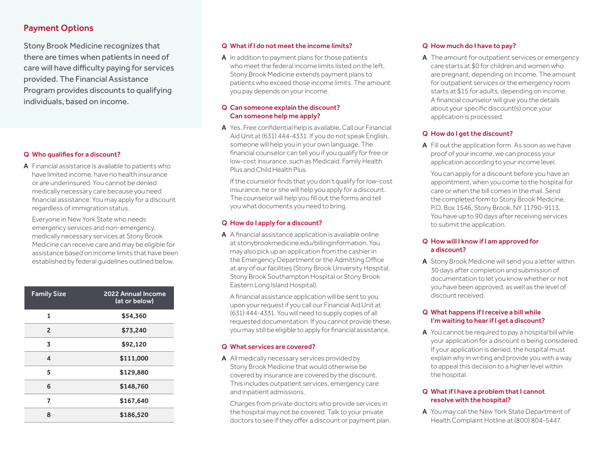# Payment Options

Stony Brook Medicine recognizes that there are times when patients in need of care will have difficulty paying for services provided. The Financial Assistance Program provides discounts to qualifying individuals, based on income.

### Q Who qualifies for a discount?

A Financial assistance is available to patients who have limited income, have no health insurance or are underinsured. You cannot be denied medically necessary care because you need financial assistance. You may apply for a discount regardless of immigration status.

Everyone in New York State who needs emergency services and non-emergency, medically necessary services at Stony Brook Medicine can receive care and may be eligible for assistance based on income limits that have been established by federal guidelines outlined below.

| <b>Family Size</b> | <b>2022 Annual Income</b><br>(at or below) |
|--------------------|--------------------------------------------|
| 1                  | \$54,360                                   |
| $\overline{2}$     | \$73,240                                   |
| 3                  | \$92,120                                   |
| 4                  | \$111,000                                  |
| 5                  | \$129,880                                  |
| 6                  | \$148,760                                  |
| 7                  | \$167,640                                  |
| 8                  | \$186,520                                  |

#### Q What if I do not meet the income limits?

A In addition to payment plans for those patients who meet the federal income limits listed on the left, Stony Brook Medicine extends payment plans to patients who exceed those income limits. The amount you pay depends on your income.

### Q Can someone explain the discount? Can someone help me apply?

A Yes. Free confidential help is available. Call our Financial Aid Unit at (631) 444-4331. If you do not speak English, someone will help you in your own language. The financial counselor can tell you if you qualify for free or low-cost insurance, such as Medicaid, Family Health Plus and Child Health Plus.

If the counselor finds that you don't qualify for low-cost insurance, he or she will help you apply for a discount. The counselor will help you fill out the forms and tell you what documents you need to bring.

## Q How do I apply for a discount?

A A financial assistance application is available online at stonybrookmedicine.edu/billinginformation. You may also pick up an application from the cashier in the Emergency Department or the Admitting Office at any of our facilities (Stony Brook University Hospital, Stony Brook Southampton Hospital or Stony Brook Eastern Long Island Hospital).

A financial assistance application will be sent to you upon your request if you call our Financial Aid Unit at (631) 444-4331. You will need to supply copies of all requested documentation. If you cannot provide these, you may still be eligible to apply for financial assistance.

#### Q What services are covered?

A All medically necessary services provided by Stony Brook Medicine that would otherwise be covered by insurance are covered by the discount. This includes outpatient services, emergency care and inpatient admissions.

Charges from private doctors who provide services in the hospital may not be covered. Talk to your private doctors to see if they offer a discount or payment plan.

### Q How much do I have to pay?

A The amount for outpatient services or emergency care starts at \$0 for children and women who are pregnant, depending on income. The amount for outpatient services or the emergency room starts at \$15 for adults, depending on income. A financial counselor will give you the details about your specific discount(s) once your application is processed.

### Q How do I get the discount?

A Fill out the application form. As soon as we have proof of your income, we can process your application according to your income level.

You can apply for a discount before you have an appointment, when you come to the hospital for care or when the bill comes in the mail. Send the completed form to Stony Brook Medicine, P.O. Box 1546, Stony Brook, NY 11790-9113. You have up to 90 days after receiving services to submit the application.

### Q How will I know if I am approved for a discount?

A Stony Brook Medicine will send you a letter within 30 days after completion and submission of documentation to let you know whether or not you have been approved, as well as the level of discount received.

#### Q What happens if I receive a bill while I'm waiting to hearif I get a discount?

A You cannot be required to pay a hospital bill while your application for a discount is being considered. If your application is denied, the hospital must explain why in writing and provide you with a way to appeal this decision to a higher level within the hospital.

#### Q What if I have a problem that I cannot resolve with the hospital?

A You may call the New York State Department of Health Complaint Hotline at (800) 804-5447.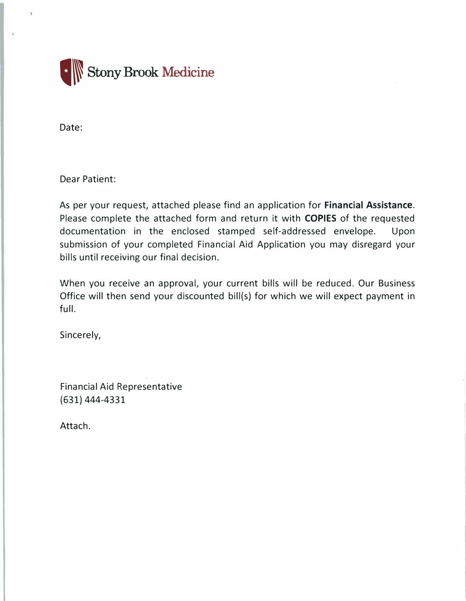

Date:

Dear Patient:

As per your request, attached please find an application for **Financial Assistance.** Please complete the attached form and return it with **COPIES** of the requested documentation in the enclosed stamped self-addressed envelope. Upon submission of your completed Financial Aid Application you may disregard your bills until receiving our final decision.

When you receive an approval, your current bills will be reduced. Our Business Office will then send your discounted bill(s) for which we will expect payment in full.

Sincerely,

Financial Aid Representative (631) 444-4331

Attach.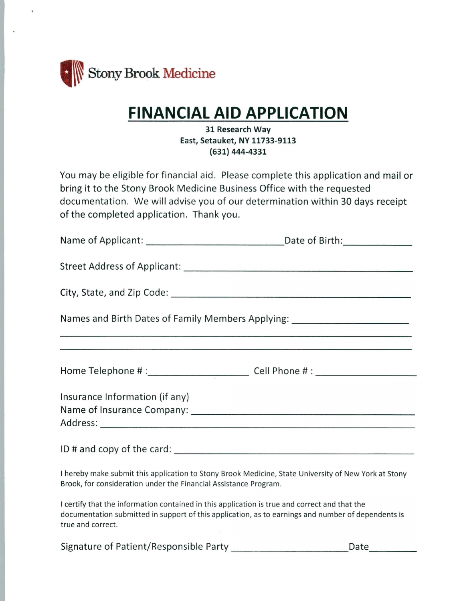

# **FINANCIAL AID APPLICATION**

## 31 Research Way East, Setauket, NY 11733-9113 (631) 444-4331

You may be eligible for financial aid. Please complete this application and mail or bring it to the Stony Brook Medicine Business Office with the requested documentation. We will advise you of our determination within 30 days receipt of the completed application. Thank you.

| Names and Birth Dates of Family Members Applying: ______________________________                                                                                                                                         |  |  |
|--------------------------------------------------------------------------------------------------------------------------------------------------------------------------------------------------------------------------|--|--|
|                                                                                                                                                                                                                          |  |  |
| Home Telephone # :______________________________Cell Phone # : _________________                                                                                                                                         |  |  |
| Insurance Information (if any)                                                                                                                                                                                           |  |  |
|                                                                                                                                                                                                                          |  |  |
|                                                                                                                                                                                                                          |  |  |
| I hereby make submit this application to Stony Brook Medicine, State University of New York at Stony<br>Brook, for consideration under the Financial Assistance Program.                                                 |  |  |
| I certify that the information contained in this application is true and correct and that the<br>documentation submitted in support of this application, as to earnings and number of dependents is<br>true and correct. |  |  |

Signature of Patient/Responsible Party Date\_